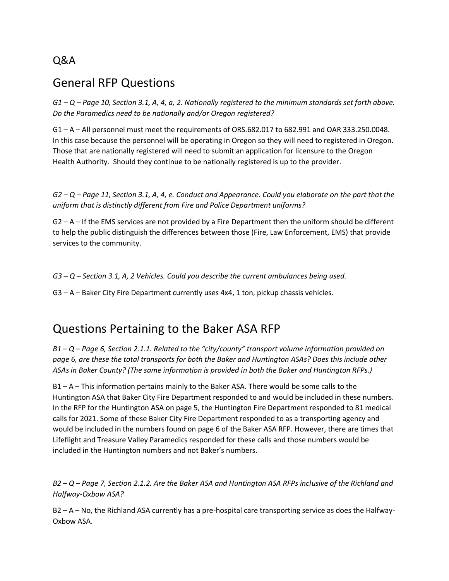#### Q&A

## General RFP Questions

*G1 – Q – Page 10, Section 3.1, A, 4, a, 2. Nationally registered to the minimum standards set forth above. Do the Paramedics need to be nationally and/or Oregon registered?*

G1 – A – All personnel must meet the requirements of ORS.682.017 to 682.991 and OAR 333.250.0048. In this case because the personnel will be operating in Oregon so they will need to registered in Oregon. Those that are nationally registered will need to submit an application for licensure to the Oregon Health Authority. Should they continue to be nationally registered is up to the provider.

*G2 – Q – Page 11, Section 3.1, A, 4, e. Conduct and Appearance. Could you elaborate on the part that the uniform that is distinctly different from Fire and Police Department uniforms?* 

G2 – A – If the EMS services are not provided by a Fire Department then the uniform should be different to help the public distinguish the differences between those (Fire, Law Enforcement, EMS) that provide services to the community.

*G3 – Q – Section 3.1, A, 2 Vehicles. Could you describe the current ambulances being used.*

G3 – A – Baker City Fire Department currently uses 4x4, 1 ton, pickup chassis vehicles.

# Questions Pertaining to the Baker ASA RFP

*B1 – Q – Page 6, Section 2.1.1. Related to the "city/county" transport volume information provided on page 6, are these the total transports for both the Baker and Huntington ASAs? Does this include other ASAs in Baker County? (The same information is provided in both the Baker and Huntington RFPs.)* 

B1 – A – This information pertains mainly to the Baker ASA. There would be some calls to the Huntington ASA that Baker City Fire Department responded to and would be included in these numbers. In the RFP for the Huntington ASA on page 5, the Huntington Fire Department responded to 81 medical calls for 2021. Some of these Baker City Fire Department responded to as a transporting agency and would be included in the numbers found on page 6 of the Baker ASA RFP. However, there are times that Lifeflight and Treasure Valley Paramedics responded for these calls and those numbers would be included in the Huntington numbers and not Baker's numbers.

*B2 – Q – Page 7, Section 2.1.2. Are the Baker ASA and Huntington ASA RFPs inclusive of the Richland and Halfway-Oxbow ASA?* 

B2 – A – No, the Richland ASA currently has a pre-hospital care transporting service as does the Halfway-Oxbow ASA.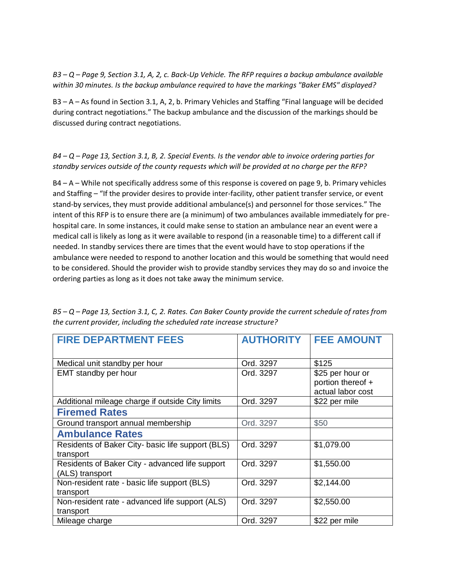*B3 – Q – Page 9, Section 3.1, A, 2, c. Back-Up Vehicle. The RFP requires a backup ambulance available within 30 minutes. Is the backup ambulance required to have the markings "Baker EMS" displayed?*

B3 – A – As found in Section 3.1, A, 2, b. Primary Vehicles and Staffing "Final language will be decided during contract negotiations." The backup ambulance and the discussion of the markings should be discussed during contract negotiations.

#### *B4 – Q – Page 13, Section 3.1, B, 2. Special Events. Is the vendor able to invoice ordering parties for standby services outside of the county requests which will be provided at no charge per the RFP?*

B4 – A – While not specifically address some of this response is covered on page 9, b. Primary vehicles and Staffing – "If the provider desires to provide inter-facility, other patient transfer service, or event stand-by services, they must provide additional ambulance(s) and personnel for those services." The intent of this RFP is to ensure there are (a minimum) of two ambulances available immediately for prehospital care. In some instances, it could make sense to station an ambulance near an event were a medical call is likely as long as it were available to respond (in a reasonable time) to a different call if needed. In standby services there are times that the event would have to stop operations if the ambulance were needed to respond to another location and this would be something that would need to be considered. Should the provider wish to provide standby services they may do so and invoice the ordering parties as long as it does not take away the minimum service.

| <b>FIRE DEPARTMENT FEES</b>                       | <b>AUTHORITY</b> | <b>FEE AMOUNT</b> |
|---------------------------------------------------|------------------|-------------------|
|                                                   |                  |                   |
| Medical unit standby per hour                     | Ord. 3297        | \$125             |
| EMT standby per hour                              | Ord. 3297        | \$25 per hour or  |
|                                                   |                  | portion thereof + |
|                                                   |                  | actual labor cost |
| Additional mileage charge if outside City limits  | Ord. 3297        | \$22 per mile     |
| <b>Firemed Rates</b>                              |                  |                   |
| Ground transport annual membership                | Ord. 3297        | \$50              |
| <b>Ambulance Rates</b>                            |                  |                   |
| Residents of Baker City- basic life support (BLS) | Ord. 3297        | \$1,079.00        |
| transport                                         |                  |                   |
| Residents of Baker City - advanced life support   | Ord. 3297        | \$1,550.00        |
| (ALS) transport                                   |                  |                   |
| Non-resident rate - basic life support (BLS)      | Ord. 3297        | \$2,144.00        |
| transport                                         |                  |                   |
| Non-resident rate - advanced life support (ALS)   | Ord. 3297        | \$2,550.00        |
| transport                                         |                  |                   |
| Mileage charge                                    | Ord. 3297        | \$22 per mile     |

*B5 – Q – Page 13, Section 3.1, C, 2. Rates. Can Baker County provide the current schedule of rates from the current provider, including the scheduled rate increase structure?*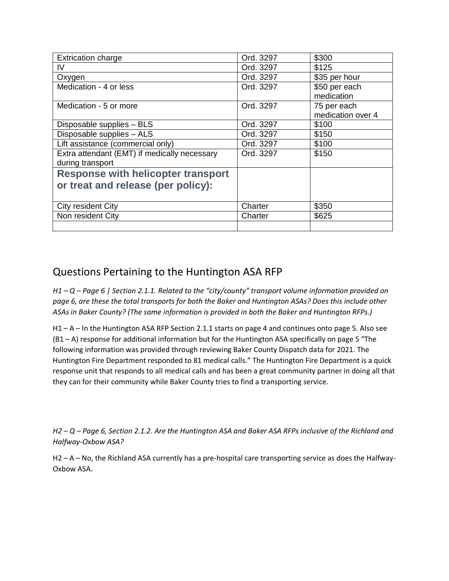| <b>Extrication charge</b>                    | Ord. 3297 | \$300             |
|----------------------------------------------|-----------|-------------------|
| IV                                           | Ord. 3297 | \$125             |
| Oxygen                                       | Ord. 3297 | \$35 per hour     |
| Medication - 4 or less                       | Ord. 3297 | \$50 per each     |
|                                              |           | medication        |
| Medication - 5 or more                       | Ord. 3297 | 75 per each       |
|                                              |           | medication over 4 |
| Disposable supplies - BLS                    | Ord. 3297 | \$100             |
| Disposable supplies - ALS                    | Ord. 3297 | \$150             |
| Lift assistance (commercial only)            | Ord. 3297 | \$100             |
| Extra attendant (EMT) if medically necessary | Ord. 3297 | \$150             |
| during transport                             |           |                   |
| <b>Response with helicopter transport</b>    |           |                   |
| or treat and release (per policy):           |           |                   |
|                                              |           |                   |
| City resident City                           | Charter   | \$350             |
| Non resident City                            | Charter   | \$625             |
|                                              |           |                   |

### Questions Pertaining to the Huntington ASA RFP

*H1 – Q – Page 6 | Section 2.1.1. Related to the "city/county" transport volume information provided on page 6, are these the total transports for both the Baker and Huntington ASAs? Does this include other ASAs in Baker County? (The same information is provided in both the Baker and Huntington RFPs.)*

H1 – A – In the Huntington ASA RFP Section 2.1.1 starts on page 4 and continues onto page 5. Also see (B1 – A) response for additional information but for the Huntington ASA specifically on page 5 "The following information was provided through reviewing Baker County Dispatch data for 2021. The Huntington Fire Department responded to 81 medical calls." The Huntington Fire Department is a quick response unit that responds to all medical calls and has been a great community partner in doing all that they can for their community while Baker County tries to find a transporting service.

*H2 – Q – Page 6, Section 2.1.2. Are the Huntington ASA and Baker ASA RFPs inclusive of the Richland and Halfway-Oxbow ASA?* 

H2 – A – No, the Richland ASA currently has a pre-hospital care transporting service as does the Halfway-Oxbow ASA.